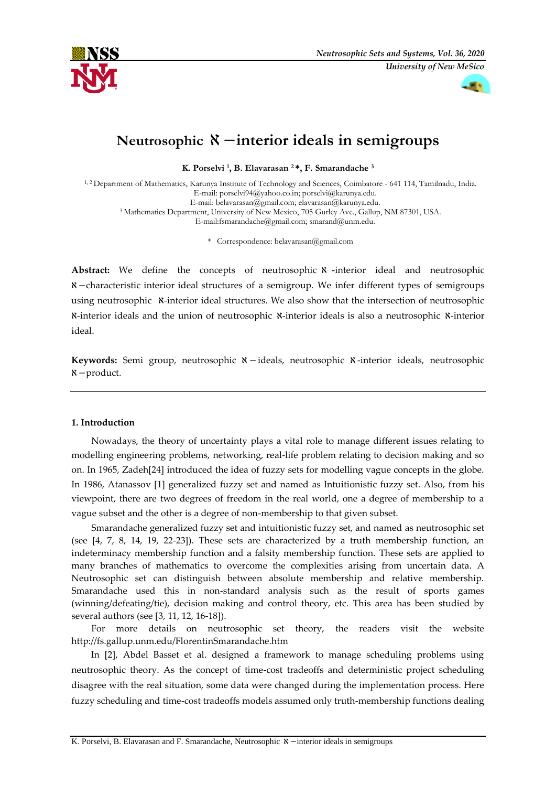



# **Neutrosophic** ℵ −**interior ideals in semigroups**

**K. Porselvi <sup>1</sup> , B. Elavarasan <sup>2</sup> \*, F. Smarandache <sup>3</sup>**

1, 2 Department of Mathematics, Karunya Institute of Technology and Sciences, Coimbatore - 641 114, Tamilnadu, India. E-mail: [porselvi94@yahoo.co.in;](mailto:porselvi94@yahoo.co.in) [porselvi@karunya.edu.](mailto:porselvi@karunya.edu) E-mail: [belavarasan@gmail.com;](mailto:belavarasan@gmail.com) [elavarasan@karunya.edu.](mailto:elavarasan@karunya.edu) <sup>3</sup> Mathematics Department, University of New Mexico, 705 Gurley Ave., Gallup, NM 87301, USA. E-mai[l:fsmarandache@gmail.com;](mailto:fsmarandache@gmail.com) [smarand@unm.edu.](mailto:smarand@unm.edu)

\* Correspondence: belavarasan@gmail.com

Abstract: We define the concepts of neutrosophic  $\aleph$  -interior ideal and neutrosophic ℵ−characteristic interior ideal structures of a semigroup. We infer different types of semigroups using neutrosophic  $\alpha$ -interior ideal structures. We also show that the intersection of neutrosophic ℵ-interior ideals and the union of neutrosophic ℵ-interior ideals is also a neutrosophic ℵ-interior ideal.

Keywords: Semi group, neutrosophic **x**-ideals, neutrosophic **x**-interior ideals, neutrosophic ℵ−product.

## **1. Introduction**

Nowadays, the theory of uncertainty plays a vital role to manage different issues relating to modelling engineering problems, networking, real-life problem relating to decision making and so on. In 1965, Zadeh[24] introduced the idea of fuzzy sets for modelling vague concepts in the globe. In 1986, Atanassov [1] generalized fuzzy set and named as Intuitionistic fuzzy set. Also, from his viewpoint, there are two degrees of freedom in the real world, one a degree of membership to a vague subset and the other is a degree of non-membership to that given subset.

Smarandache generalized fuzzy set and intuitionistic fuzzy set, and named as neutrosophic set (see [4, 7, 8, 14, 19, 22-23]). These sets are characterized by a truth membership function, an indeterminacy membership function and a falsity membership function. These sets are applied to many branches of mathematics to overcome the complexities arising from uncertain data. A Neutrosophic set can distinguish between absolute membership and relative membership. Smarandache used this in non-standard analysis such as the result of sports games (winning/defeating/tie), decision making and control theory, etc. This area has been studied by several authors (see [3, 11, 12, 16-18]).

For more details on neutrosophic set theory, the readers visit the website http://fs.gallup.unm.edu/FlorentinSmarandache.htm

In [2], Abdel Basset et al. designed a framework to manage scheduling problems using neutrosophic theory. As the concept of time-cost tradeoffs and deterministic project scheduling disagree with the real situation, some data were changed during the implementation process. Here fuzzy scheduling and time-cost tradeoffs models assumed only truth-membership functions dealing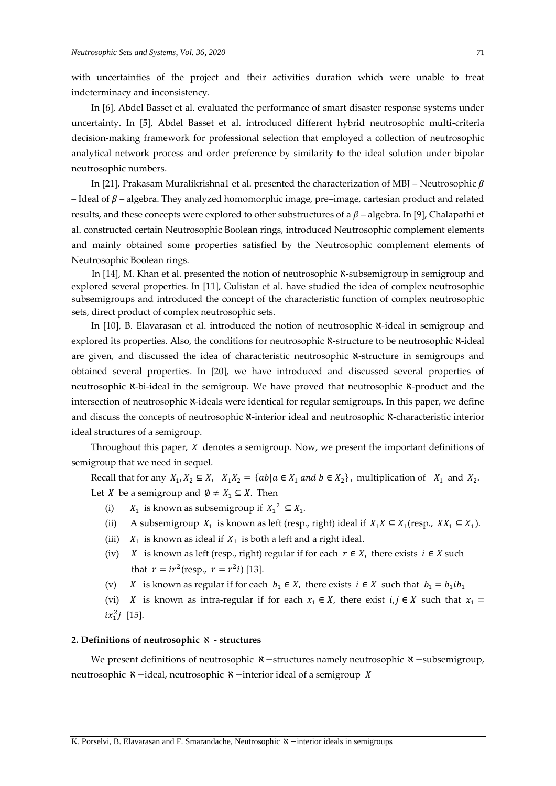with uncertainties of the project and their activities duration which were unable to treat indeterminacy and inconsistency.

In [6], Abdel Basset et al. evaluated the performance of smart disaster response systems under uncertainty. In [5], Abdel Basset et al. introduced different hybrid neutrosophic multi-criteria decision-making framework for professional selection that employed a collection of neutrosophic analytical network process and order preference by similarity to the ideal solution under bipolar neutrosophic numbers.

In [21], Prakasam Muralikrishna1 et al. presented the characterization of MBJ – Neutrosophic  $\beta$ – Ideal of  $\beta$  – algebra. They analyzed homomorphic image, pre–image, cartesian product and related results, and these concepts were explored to other substructures of a  $\beta$  – algebra. In [9], Chalapathi et al. constructed certain Neutrosophic Boolean rings, introduced Neutrosophic complement elements and mainly obtained some properties satisfied by the Neutrosophic complement elements of Neutrosophic Boolean rings.

In [14], M. Khan et al. presented the notion of neutrosophic  $\aleph$ -subsemigroup in semigroup and explored several properties. In [11], Gulistan et al. have studied the idea of complex neutrosophic subsemigroups and introduced the concept of the characteristic function of complex neutrosophic sets, direct product of complex neutrosophic sets.

In [10], B. Elavarasan et al. introduced the notion of neutrosophic  $\aleph$ -ideal in semigroup and explored its properties. Also, the conditions for neutrosophic ℵ-structure to be neutrosophic ℵ-ideal are given, and discussed the idea of characteristic neutrosophic  $x$ -structure in semigroups and obtained several properties. In [20], we have introduced and discussed several properties of neutrosophic ℵ-bi-ideal in the semigroup. We have proved that neutrosophic ℵ-product and the intersection of neutrosophic  $\aleph$ -ideals were identical for regular semigroups. In this paper, we define and discuss the concepts of neutrosophic  $x$ -interior ideal and neutrosophic  $x$ -characteristic interior ideal structures of a semigroup.

Throughout this paper,  $X$  denotes a semigroup. Now, we present the important definitions of semigroup that we need in sequel.

Recall that for any  $X_1, X_2 \subseteq X$ ,  $X_1X_2 = \{ab \mid a \in X_1 \text{ and } b \in X_2\}$ , multiplication of  $X_1$  and  $X_2$ . Let *X* be a semigroup and  $\emptyset \neq X_1 \subseteq X$ . Then

- (i)  $X_1$  is known as subsemigroup if  $X_1^2 \subseteq X_1$ .
- (ii) A subsemigroup  $X_1$  is known as left (resp., right) ideal if  $X_1X \subseteq X_1$ (resp.,  $XX_1 \subseteq X_1$ ).
- (iii)  $X_1$  is known as ideal if  $X_1$  is both a left and a right ideal.
- (iv) *X* is known as left (resp., right) regular if for each  $r \in X$ , there exists  $i \in X$  such that  $r = ir^2$ (resp.,  $r = r^2i$ ) [13].
- (v) *X* is known as regular if for each  $b_1 \in X$ , there exists  $i \in X$  such that  $b_1 = b_1 ib_1$
- (vi) *X* is known as intra-regular if for each  $x_1 \in X$ , there exist  $i, j \in X$  such that  $x_1 =$  $ix_1^2 j$  [15].

### **2. Definitions of neutrosophic** ℵ **- structures**

We present definitions of neutrosophic <sup>*N*</sup>−structures namely neutrosophic *N* −subsemigroup, neutrosophic *N*−ideal, neutrosophic *N*−interior ideal of a semigroup *X*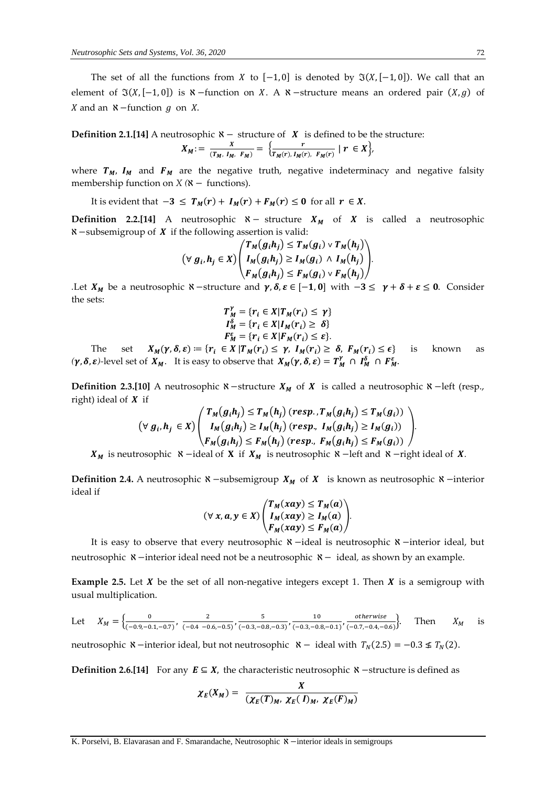The set of all the functions from X to  $[-1, 0]$  is denoted by  $\Im(X, [-1, 0])$ . We call that an element of  $\Im(X,[-1,0])$  is  $\aleph$  -function on X. A  $\aleph$  -structure means an ordered pair  $(X, g)$  of X and an  $\aleph$  -function g on X.

**Definition 2.1.[14]** A neutrosophic  $\aleph -$  structure of **X** is defined to be the structure:

$$
X_M := \frac{x}{(T_M, I_M, F_M)} = \left\{ \frac{r}{T_M(r), I_M(r), F_M(r)} \mid r \in X \right\},\
$$

where  $T_M$ ,  $I_M$  and  $F_M$  are the negative truth, negative indeterminacy and negative falsity membership function on *X* ( $\mathsf{X}$  − functions).

It is evident that  $-3 \leq T_M(r) + I_M(r) + F_M(r) \leq 0$  for all  $r \in X$ .

**Definition 2.2.[14]** A neutrosophic  $\aleph -$  structure  $X_M$  of  $X$  is called a neutrosophic  $\mathcal{R}$  −subsemigroup of  $\boldsymbol{X}$  if the following assertion is valid:

$$
(\forall g_i, h_j \in X) \begin{pmatrix} T_M(g_i h_j) \le T_M(g_i) \vee T_M(h_j) \\ I_M(g_i h_j) \ge I_M(g_i) \wedge I_M(h_j) \\ F_M(g_i h_j) \le F_M(g_i) \vee F_M(h_j) \end{pmatrix}.
$$

*.*Let  $X_M$  be a neutrosophic  $\aleph$  -structure and  $\gamma$ ,  $\delta$ ,  $\varepsilon \in [-1,0]$  with  $-3 \leq \gamma + \delta + \varepsilon \leq 0$ . Consider the sets:

$$
T_M^V = \{r_i \in X | T_M(r_i) \leq \gamma\}
$$
  

$$
I_M^{\delta} = \{r_i \in X | I_M(r_i) \geq \delta\}
$$
  

$$
F_M^{\epsilon} = \{r_i \in X | F_M(r_i) \leq \epsilon\}.
$$

The set  $X_M(\gamma, \delta, \varepsilon) \coloneqq \{r_i \in X | T_M(r_i) \leq \gamma, I_M(r_i) \geq \delta, F_M(r_i) \leq \epsilon\}$  is known as  $(\gamma, \delta, \varepsilon)$ -level set of  $X_M$ . It is easy to observe that  $X_M(\gamma, \delta, \varepsilon) = T_M^{\gamma} \cap T_M^{\delta} \cap F_M^{\varepsilon}$ 

**Definition 2.3.[10]** A neutrosophic  $\aleph$  −structure  $X_M$  of  $X$  is called a neutrosophic  $\aleph$  −left (resp., right) ideal of  $X$  if

$$
(\forall g_i, h_j \in X) \begin{pmatrix} T_M(g_i h_j) \le T_M(h_j) \ (resp., T_M(g_i h_j) \le T_M(g_i)) \\ I_M(g_i h_j) \ge I_M(h_j) \ (resp., I_M(g_i h_j) \ge I_M(g_i)) \\ F_M(g_i h_j) \le F_M(h_j) \ (resp., F_M(g_i h_j) \le F_M(g_i)) \end{pmatrix}.
$$

 $X_M$  is neutrosophic  $\aleph$  −ideal of **X** if  $X_M$  is neutrosophic  $\aleph$  −left and  $\aleph$  −right ideal of **X**.

**Definition 2.4.** A neutrosophic  $\aleph$  −subsemigroup  $X_M$  of  $X$  is known as neutrosophic  $\aleph$  −interior ideal if

$$
(\forall x, a, y \in X) \begin{pmatrix} T_M(xay) \le T_M(a) \\ I_M(xay) \ge I_M(a) \\ F_M(xay) \le F_M(a) \end{pmatrix}.
$$

It is easy to observe that every neutrosophic ℵ−ideal is neutrosophic ℵ−interior ideal, but neutrosophic ℵ−interior ideal need not be a neutrosophic ℵ− ideal*,* as shown by an example.

**Example 2.5.** Let  $X$  be the set of all non-negative integers except 1. Then  $X$  is a semigroup with usual multiplication.

Let 
$$
X_M = \left\{ \frac{0}{(-0.9, -0.1, -0.7)}, \frac{2}{(-0.4, -0.6, -0.5)}, \frac{5}{(-0.3, -0.8, -0.3)}, \frac{10}{(-0.3, -0.8, -0.1)}, \frac{\text{otherwise}}{(-0.7, -0.4, -0.6)} \right\}
$$
. Then  $X_M$  is

neutrosophic  $\aleph$ −interior ideal, but not neutrosophic  $\aleph$ − ideal with  $T_N(2.5) = -0.3 \nleq T_N(2)$ .

**Definition 2.6.[14]** For any  $E \subseteq X$ , the characteristic neutrosophic  $\aleph$  -structure is defined as

$$
\chi_E(X_M) = \frac{X}{(\chi_E(T)_M, \chi_E(T)_M, \chi_E(F)_M)}
$$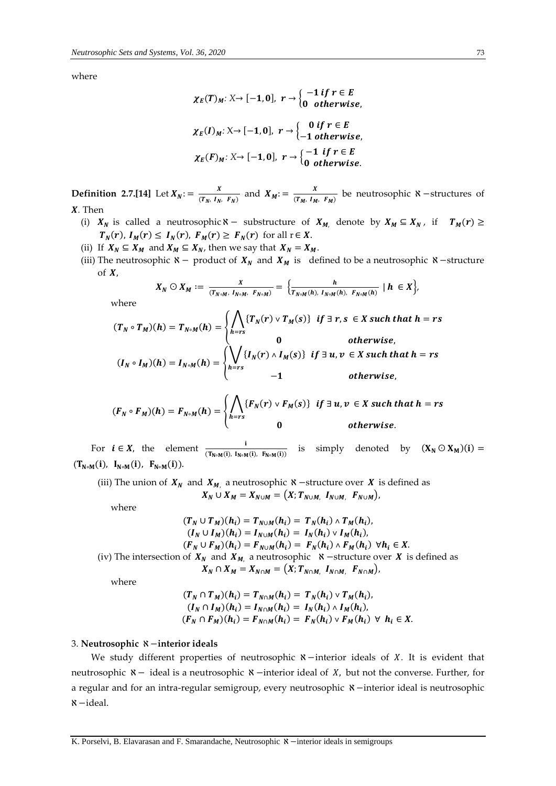where

$$
\chi_E(T)_{M}: X \to [-1, 0], r \to \begin{cases} -1 \text{ if } r \in E \\ 0 \text{ otherwise,} \end{cases}
$$

$$
\chi_E(I)_{M}: X \to [-1, 0], r \to \begin{cases} 0 \text{ if } r \in E \\ -1 \text{ otherwise,} \end{cases}
$$

$$
\chi_E(F)_{M}: X \to [-1, 0], r \to \begin{cases} -1 \text{ if } r \in E \\ 0 \text{ otherwise.} \end{cases}
$$

**Definition** 2.7.[14] Let  $X_N$ : =  $\frac{X}{(Tx + 1)^N}$  $\frac{X}{(T_N, I_N, F_N)}$  and  $X_M := \frac{X}{(T_M, I_M)}$  $\frac{A}{(T_M, I_M, F_M)}$  be neutrosophic  $\aleph$  -structures of *.* Then

- (i)  $X_N$  is called a neutrosophic  $\aleph -$  substructure of  $X_M$ , denote by  $X_M \subseteq X_N$ , if  $T_M(r) \ge$  $T_N(r)$ ,  $I_M(r) \le I_N(r)$ ,  $F_M(r) \ge F_N(r)$  for all  $r \in X$ .
- (ii) If  $X_N \subseteq X_M$  and  $X_M \subseteq X_N$ , then we say that  $X_N = X_M$ .
- (iii) The neutrosophic  $\aleph$  − product of  $X_N$  and  $X_M$  is defined to be a neutrosophic  $\aleph$  − structure of  $X$ ,

$$
X_N \odot X_M := \frac{x}{(T_{N \circ M}, I_{N \circ M}, F_{N \circ M})} = \Big\{ \frac{h}{T_{N \circ M}(h), I_{N \circ M}(h), F_{N \circ M}(h)} \mid h \in X \Big\},\
$$

where

$$
(T_N \circ T_M)(h) = T_{N \circ M}(h) = \begin{cases} \bigwedge_{h=r_S} \{T_N(r) \vee T_M(s)\} & \text{if } \exists r, s \in X \text{ such that } h = rs \\ 0 & \text{otherwise,} \end{cases}
$$
  

$$
(I_N \circ I_M)(h) = I_{N \circ M}(h) = \begin{cases} \bigvee_{h=r_S} \{I_N(r) \wedge I_M(s)\} & \text{if } \exists u, v \in X \text{ such that } h = rs \\ 0 & \text{otherwise,} \end{cases}
$$

$$
(F_N \circ F_M)(h) = F_{N \circ M}(h) = \begin{cases} \bigwedge_{h=r_S} \{F_N(r) \vee F_M(s)\} & \text{if } \exists u, v \in X \text{ such that } h = rs \\ 0 & \text{otherwise.} \end{cases}
$$

For  $i \in X$ , the element  $\frac{i}{(T_{N \circ M}(i), T_{N \circ M}(i))}$  is simply denoted by  $(X_N \odot X_M)(i)$  =  $(T_{N\circ M}(i), I_{N\circ M}(i), F_{N\circ M}(i)).$ 

(iii) The union of  $X_N$  and  $X_M$ , a neutrosophic  $\aleph$  −structure over  $X$  is defined as  $X_N \cup X_M = X_{N \cup M} = (X; T_{N \cup M}, I_{N \cup M}, F_{N \cup M}),$ 

where

$$
(T_N \cup T_M)(h_i) = T_{N \cup M}(h_i) = T_N(h_i) \wedge T_M(h_i),
$$
  
\n
$$
(I_N \cup I_M)(h_i) = I_{N \cup M}(h_i) = I_N(h_i) \vee I_M(h_i),
$$
  
\n
$$
(F_N \cup F_M)(h_i) = F_{N \cup M}(h_i) = F_N(h_i) \wedge F_M(h_i) \forall h_i \in X.
$$
  
\n(iv) The intersection of  $X_N$  and  $X_M$ , a neutrosophic  $\aleph$  -structure over X is defined as  
\n
$$
X_N \cap X_M = X_{N \cap M} = (X; T_{N \cap M}, I_{N \cap M}, F_{N \cap M}),
$$

where

$$
(T_N \cap T_M)(h_i) = T_{N \cap M}(h_i) = T_N(h_i) \vee T_M(h_i),
$$
  
\n
$$
(I_N \cap I_M)(h_i) = I_{N \cap M}(h_i) = I_N(h_i) \wedge I_M(h_i),
$$
  
\n
$$
(F_N \cap F_M)(h_i) = F_{N \cap M}(h_i) = F_N(h_i) \vee F_M(h_i) \forall h_i \in X.
$$

#### 3. **Neutrosophic** ℵ−**interior ideals**

We study different properties of neutrosophic **x** −interior ideals of *X*. It is evident that neutrosophic **×** − ideal is a neutrosophic **×** − interior ideal of *X*, but not the converse. Further, for a regular and for an intra-regular semigroup, every neutrosophic ℵ −interior ideal is neutrosophic ℵ−ideal.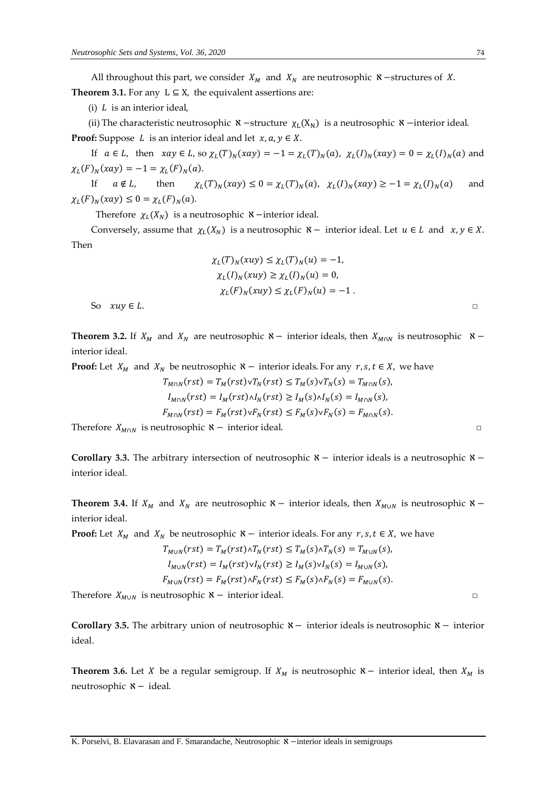All throughout this part, we consider  $X_M$  and  $X_N$  are neutrosophic  $\aleph$  −structures of X. **Theorem 3.1.** For any  $L \subseteq X$ , the equivalent assertions are:

(i)  $L$  is an interior ideal,

(ii) The characteristic neutrosophic  $\aleph$  −structure  $\chi_L(X_N)$  is a neutrosophic  $\aleph$  −interior ideal.

**Proof:** Suppose  $L$  is an interior ideal and let  $x, a, y \in X$ .

If  $a \in L$ , then  $xay \in L$ , so  $\chi_L(T)_N(xay) = -1 = \chi_L(T)_N(a)$ ,  $\chi_L(I)_N(xay) = 0 = \chi_L(I)_N(a)$  and  $\chi_L(F)_N(xay) = -1 = \chi_L(F)_N(a).$ 

If  $a \notin L$ , then  $(T)_N(xay) \le 0 = \chi_L(T)_N(a), \quad \chi_L(I)_N(xay) \ge -1 = \chi_L(I)_N(a)$  and  $\chi_L(F)_N(xay) \leq 0 = \chi_L(F)_N(a).$ 

Therefore  $\chi_L(X_N)$  is a neutrosophic **×**−interior ideal.

Conversely, assume that  $\chi_L(X_N)$  is a neutrosophic  $\aleph$  − interior ideal. Let  $u \in L$  and  $x, y \in X$ . Then

$$
\chi_L(T)_N(xuy) \le \chi_L(T)_N(u) = -1,
$$
  
\n
$$
\chi_L(I)_N(xuy) \ge \chi_L(I)_N(u) = 0,
$$
  
\n
$$
\chi_L(F)_N(xuy) \le \chi_L(F)_N(u) = -1.
$$
  
\nSo  $xuy \in L$ .

**Theorem 3.2.** If  $X_M$  and  $X_N$  are neutrosophic  $\aleph$  − interior ideals, then  $X_{M \cap N}$  is neutrosophic  $\aleph$  − interior ideal.

**Proof:** Let  $X_M$  and  $X_N$  be neutrosophic  $\aleph$  − interior ideals. For any  $r, s, t \in X$ , we have

$$
T_{M \cap N}(rst) = T_M(rst) \vee T_N(rst) \le T_M(s) \vee T_N(s) = T_{M \cap N}(s),
$$
  
\n
$$
I_{M \cap N}(rst) = I_M(rst) \wedge I_N(rst) \ge I_M(s) \wedge I_N(s) = I_{M \cap N}(s),
$$
  
\n
$$
F_{M \cap N}(rst) = F_M(rst) \vee F_N(rst) \le F_M(s) \vee F_N(s) = F_{M \cap N}(s).
$$

Therefore  $X_{M \cap N}$  is neutrosophic  $\aleph -$  interior ideal. □

**Corollary 3.3.** The arbitrary intersection of neutrosophic ℵ − interior ideals is a neutrosophic ℵ − interior ideal.

**Theorem 3.4.** If  $X_M$  and  $X_N$  are neutrosophic  $\aleph$  − interior ideals, then  $X_{M \cup N}$  is neutrosophic  $\aleph$  − interior ideal.

**Proof:** Let  $X_M$  and  $X_N$  be neutrosophic  $\aleph$  − interior ideals. For any  $r, s, t \in X$ , we have

$$
T_{M \cup N}(rst) = T_M(rst) \wedge T_N(rst) \le T_M(s) \wedge T_N(s) = T_{M \cup N}(s),
$$
  
\n
$$
I_{M \cup N}(rst) = I_M(rst) \vee I_N(rst) \ge I_M(s) \vee I_N(s) = I_{M \cup N}(s),
$$
  
\n
$$
F_{M \cup N}(rst) = F_M(rst) \wedge F_N(rst) \le F_M(s) \wedge F_N(s) = F_{M \cup N}(s).
$$

Therefore  $X_{M \cup N}$  is neutrosophic  $X -$  interior ideal. □

**Corollary 3.5.** The arbitrary union of neutrosophic ℵ− interior ideals is neutrosophic ℵ − interior ideal.

**Theorem 3.6.** Let *X* be a regular semigroup. If  $X_M$  is neutrosophic  $\aleph$  − interior ideal, then  $X_M$  is neutrosophic ℵ− ideal.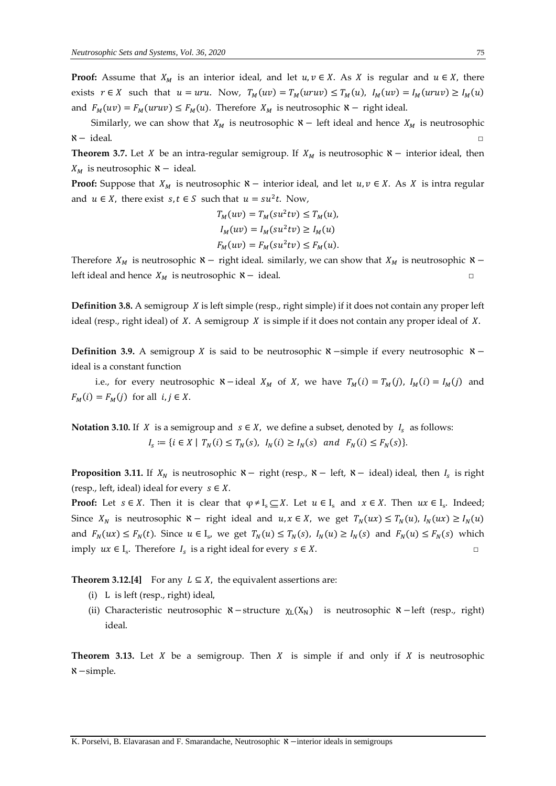**Proof:** Assume that  $X_M$  is an interior ideal, and let  $u, v \in X$ . As X is regular and  $u \in X$ , there exists  $r \in X$  such that  $u = uru$ . Now,  $T_M(uv) = T_M(uruv) \le T_M(u)$ ,  $I_M(uv) = I_M(uruv) \ge I_M(u)$ and  $F_M(uv) = F_M(uruv) \le F_M(u)$ . Therefore  $X_M$  is neutrosophic  $\aleph -$  right ideal.

Similarly, we can show that  $X_M$  is neutrosophic  $\aleph$  – left ideal and hence  $X_M$  is neutrosophic ℵ− ideal. □

**Theorem 3.7.** Let *X* be an intra-regular semigroup. If  $X_M$  is neutrosophic  $\aleph$  − interior ideal, then  $X_M$  is neutrosophic  $\aleph$  − ideal.

**Proof:** Suppose that  $X_M$  is neutrosophic  $\aleph$  – interior ideal, and let  $u, v \in X$ . As X is intra regular and  $u \in X$ , there exist  $s, t \in S$  such that  $u = su^2t$ . Now,

$$
T_M(uv) = T_M(su^2tv) \le T_M(u),
$$
  
\n
$$
I_M(uv) = I_M(su^2tv) \ge I_M(u)
$$
  
\n
$$
F_M(uv) = F_M(su^2tv) \le F_M(u).
$$

Therefore  $X_M$  is neutrosophic  $\aleph$  − right ideal. similarly, we can show that  $X_M$  is neutrosophic  $\aleph$  − left ideal and hence  $X_M$  is neutrosophic  $\aleph$  − ideal. □

**Definition 3.8.** A semigroup *X* is left simple (resp., right simple) if it does not contain any proper left ideal (resp., right ideal) of  $X$ . A semigroup  $X$  is simple if it does not contain any proper ideal of  $X$ .

Definition 3.9. A semigroup *X* is said to be neutrosophic *N*−simple if every neutrosophic *N*− ideal is a constant function

i.e., for every neutrosophic  $\aleph$  −ideal  $X_M$  of X, we have  $T_M(i) = T_M(j)$ ,  $I_M(i) = I_M(j)$  and  $F_M(i) = F_M(j)$  for all  $i, j \in X$ .

**Notation 3.10.** If *X* is a semigroup and  $s \in X$ , we define a subset, denoted by  $I_s$  as follows:  $I_s := \{ i \in X \mid T_N(i) \leq T_N(s), I_N(i) \geq I_N(s) \text{ and } F_N(i) \leq F_N(s) \}.$ 

**Proposition 3.11.** If  $X_N$  is neutrosophic  $\aleph -$  right (resp.,  $\aleph -$  left,  $\aleph -$  ideal) ideal, then  $I_s$  is right (resp., left, ideal) ideal for every  $s \in X$ .

**Proof:** Let  $s \in X$ . Then it is clear that  $\varphi \neq I_s \subseteq X$ . Let  $u \in I_s$  and  $x \in X$ . Then  $ux \in I_s$ . Indeed; Since  $X_N$  is neutrosophic  $\aleph -$  right ideal and  $u, x \in X$ , we get  $T_N(ux) \le T_N(u)$ ,  $I_N(ux) \ge I_N(u)$ and  $F_N(ux) \le F_N(t)$ . Since  $u \in I_s$ , we get  $T_N(u) \le T_N(s)$ ,  $I_N(u) \ge I_N(s)$  and  $F_N(u) \le F_N(s)$  which imply  $ux \in I_s$ . Therefore  $I_s$  is a right ideal for every  $s \in X$ .

**Theorem 3.12.[4]** For any  $L \subseteq X$ , the equivalent assertions are:

- (i) L is left (resp., right) ideal,
- (ii) Characteristic neutrosophic  $\aleph$ −structure  $\chi_L(X_N)$  is neutrosophic  $\aleph$ −left (resp., right) ideal.

**Theorem 3.13.** Let  $X$  be a semigroup. Then  $X$  is simple if and only if  $X$  is neutrosophic ℵ−simple.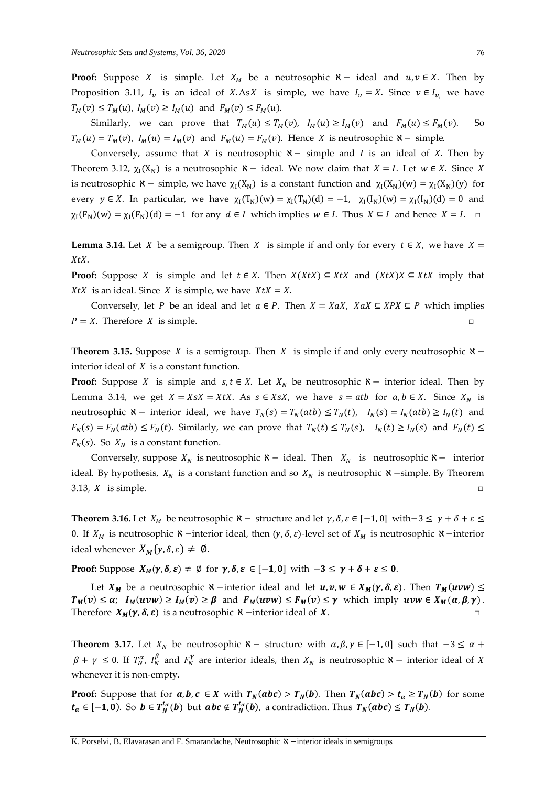**Proof:** Suppose *X* is simple. Let  $X_M$  be a neutrosophic  $\aleph -$  ideal and  $u, v \in X$ . Then by Proposition 3.11,  $I_u$  is an ideal of X.AsX is simple, we have  $I_u = X$ . Since  $v \in I_u$  we have  $T_M(v) \le T_M(u)$ ,  $I_M(v) \ge I_M(u)$  and  $F_M(v) \le F_M(u)$ .

Similarly, we can prove that  $T_M(u) \le T_M(v)$ ,  $I_M(u) \ge I_M(v)$  and  $F_M(u) \le F_M(v)$ . So  $T_M(u) = T_M(v)$ ,  $I_M(u) = I_M(v)$  and  $F_M(u) = F_M(v)$ . Hence X is neutrosophic  $\aleph -$  simple.

Conversely, assume that *X* is neutrosophic  $X -$  simple and *I* is an ideal of *X*. Then by Theorem 3.12,  $\chi_I(X_N)$  is a neutrosophic  $N-$  ideal. We now claim that  $X = I$ . Let  $w \in X$ . Since X is neutrosophic  $\aleph$  – simple, we have  $\chi_I(X_N)$  is a constant function and  $\chi_I(X_N)(w) = \chi_I(X_N)(y)$  for every  $y \in X$ . In particular, we have  $\chi_I(T_N)(w) = \chi_I(T_N)(d) = -1$ ,  $\chi_I(I_N)(w) = \chi_I(I_N)(d) = 0$  and  $\chi_1(F_N)(w) = \chi_1(F_N)(d) = -1$  for any  $d \in I$  which implies  $w \in I$ . Thus  $X \subseteq I$  and hence  $X = I$ .  $\Box$ 

**Lemma 3.14.** Let X be a semigroup. Then X is simple if and only for every  $t \in X$ , we have  $X =$ XtX.

**Proof:** Suppose X is simple and let  $t \in X$ . Then  $X(XtX) \subseteq XtX$  and  $(XtX)X \subseteq XtX$  imply that XtX is an ideal. Since *X* is simple, we have  $X \cdot X = X$ .

Conversely, let P be an ideal and let  $a \in P$ . Then  $X = XaX$ ,  $XaX \subseteq XPX \subseteq P$  which implies  $P = X$ . Therefore X is simple. □

**Theorem 3.15.** Suppose *X* is a semigroup. Then *X* is simple if and only every neutrosophic  $\mathbf{X}$  − interior ideal of  $X$  is a constant function.

**Proof:** Suppose *X* is simple and  $s, t \in X$ . Let  $X_N$  be neutrosophic  $\aleph -$  interior ideal. Then by Lemma 3.14, we get  $X = XsX = XtX$ . As  $s \in XsX$ , we have  $s = atb$  for  $a, b \in X$ . Since  $X_N$  is neutrosophic  $\aleph$  − interior ideal, we have  $T_N(s) = T_N(atb) \le T_N(t)$ ,  $I_N(s) = I_N(atb) \ge I_N(t)$  and  $F_N(s) = F_N(atb) \le F_N(t)$ . Similarly, we can prove that  $T_N(t) \le T_N(s)$ ,  $I_N(t) \ge I_N(s)$  and  $F_N(t) \le$  $F_N(s)$ . So  $X_N$  is a constant function.

Conversely, suppose  $X_N$  is neutrosophic  $\aleph -$  ideal. Then  $X_N$  is neutrosophic  $\aleph -$  interior ideal. By hypothesis,  $X_N$  is a constant function and so  $X_N$  is neutrosophic  $\aleph$  −simple. By Theorem 3.13,  $X$  is simple.  $\square$ 

**Theorem 3.16.** Let  $X_M$  be neutrosophic  $\aleph -$  structure and let  $\gamma$ ,  $\delta$ ,  $\varepsilon \in [-1, 0]$  with−3  $\leq \gamma + \delta + \varepsilon \leq$ 0. If  $X_M$  is neutrosophic  $\aleph$  −interior ideal, then  $(\gamma, \delta, \varepsilon)$ -level set of  $X_M$  is neutrosophic  $\aleph$  −interior ideal whenever  $X_M(\gamma, \delta, \varepsilon) \neq \emptyset$ .

**Proof:** Suppose  $X_M(\gamma, \delta, \varepsilon) \neq \emptyset$  for  $\gamma, \delta, \varepsilon \in [-1, 0]$  with  $-3 \leq \gamma + \delta + \varepsilon \leq 0$ .

Let  $X_M$  be a neutrosophic  $\aleph$  −interior ideal and let  $u, v, w \in X_M(\gamma, \delta, \varepsilon)$ . Then  $T_M(uvw) \leq$  $T_M(v) \leq \alpha$ ;  $I_M(uvw) \geq I_M(v) \geq \beta$  and  $F_M(uvw) \leq F_M(v) \leq \gamma$  which imply  $uvw \in X_M(\alpha, \beta, \gamma)$ . Therefore  $X_M(\gamma, \delta, \varepsilon)$  is a neutrosophic  $\aleph$  −interior ideal of X.

**Theorem 3.17.** Let  $X_N$  be neutrosophic  $\aleph -$  structure with  $\alpha, \beta, \gamma \in [-1, 0]$  such that  $-3 \le \alpha +$  $\beta + \gamma \leq 0$ . If  $T_N^{\alpha}$ ,  $I_N^{\beta}$  and  $F_N^{\gamma}$  are interior ideals, then  $X_N$  is neutrosophic  $\aleph -$  interior ideal of X whenever it is non-empty.

**Proof:** Suppose that for  $a, b, c \in X$  with  $T_N(abc) > T_N(b)$ . Then  $T_N(abc) > t_a \ge T_N(b)$  for some  $t_\alpha\in[-1,0).$  So  $b\in T_N^{t_\alpha}(b)$  but  $abc\notin T_N^{t_\alpha}(b)$ , a contradiction. Thus  $T_N(abc)\leq T_N(b).$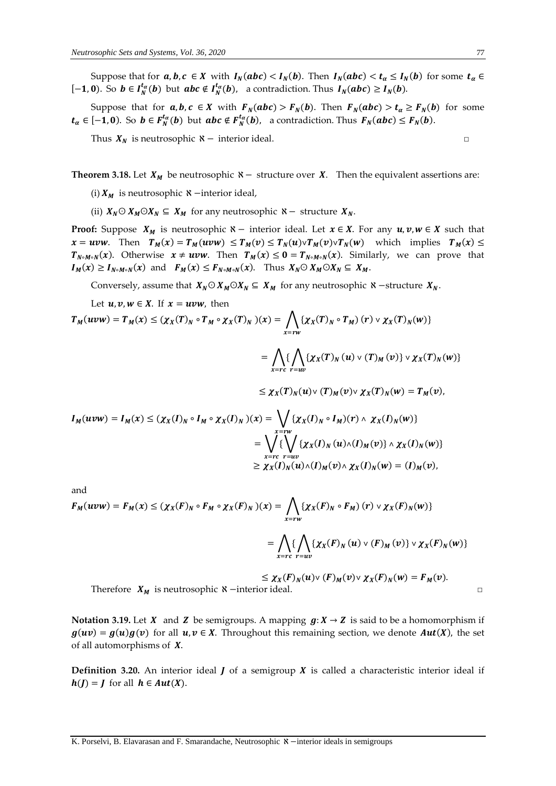Suppose that for  $a, b, c \in X$  with  $I_N(abc) < I_N(b)$ . Then  $I_N(abc) < t_\alpha \le I_N(b)$  for some  $t_\alpha \in$ [-1,0). So  $b \in I_N^{t_\alpha}(b)$  but  $abc \notin I_N^{t_\alpha}(b)$ , a contradiction. Thus  $I_N(abc) \geq I_N(b)$ .

Suppose that for  $a, b, c \in X$  with  $F_N(abc) > F_N(b)$ . Then  $F_N(abc) > t_\alpha \ge F_N(b)$  for some  $t_{\alpha} \in [-1, 0)$ . So  $b \in F_N^{t_{\alpha}}(b)$  but  $abc \notin F_N^{t_{\alpha}}(b)$ , a contradiction. Thus  $F_N(abc) \leq F_N(b)$ .

Thus  $X_N$  is neutrosophic  $N-$  interior ideal.

**Theorem 3.18.** Let  $X_M$  be neutrosophic  $X -$  structure over  $X$ . Then the equivalent assertions are:

(i)  $X_M$  is neutrosophic  $\aleph$  −interior ideal,

(ii)  $X_N \odot X_M \odot X_N \subseteq X_M$  for any neutrosophic  $\aleph -$  structure  $X_N$ .

**Proof:** Suppose  $X_M$  is neutrosophic  $\aleph$  – interior ideal. Let  $x \in X$ . For any  $u, v, w \in X$  such that  $x = uvw$ . Then  $T_M(x) = T_M(uvw) \leq T_M(v) \leq T_N(u)vT_M(v)vT_N(w)$  which implies  $T_M(x) \leq$  $T_{N \circ M \circ N}(x)$ . Otherwise  $x \neq uvw$ . Then  $T_M(x) \leq 0 = T_{N \circ M \circ N}(x)$ . Similarly, we can prove that  $I_M(x) \geq I_{N \circ M \circ N}(x)$  and  $F_M(x) \leq F_{N \circ M \circ N}(x)$ . Thus  $X_N \odot X_M \odot X_N \subseteq X_M$ .

Conversely, assume that  $X_N \odot X_M \odot X_N \subseteq X_M$  for any neutrosophic  $\aleph$  −structure  $X_N$ .

Let  $u, v, w \in X$ . If  $x = uvw$ , then

$$
T_M(uvw) = T_M(x) \le (\chi_X(T)_N \circ T_M \circ \chi_X(T)_N)(x) = \bigwedge_{x=rw} \{ \chi_X(T)_N \circ T_M \} (r) \vee \chi_X(T)_N(w) \}
$$

$$
= \bigwedge \{ \bigwedge \{ \chi_X(T)_N (u) \vee (T)_M (v) \} \vee \chi_X(T)_N(w) \}
$$

$$
x = rc r = uv
$$

 $\leq \chi_X(T)_N(u) \vee (T)_M(v) \vee \chi_X(T)_N(w) = T_M(v),$ 

$$
I_M(uvw) = I_M(x) \le (\chi_X(I)_N \circ I_M \circ \chi_X(I)_N)(x) = \bigvee_{x = rw} {\{\chi_X(I)_N \circ I_M\}}(r) \wedge \chi_X(I)_N(w)
$$
  
= 
$$
\bigvee_{x = rc} {\{\bigvee_{x = rw} {\{\chi_X(I)_N(u) \wedge (I)_M(v) \}\wedge \chi_X(I)_N(w) \}} \atop \ge \chi_X(I)_N(u) \wedge (I)_M(v) \wedge \chi_X(I)_N(w) = (I)_M(v),
$$

and

$$
F_M(uvw) = F_M(x) \le (\chi_X(F)_N \circ F_M \circ \chi_X(F)_N)(x) = \bigwedge_{x=rw} \{ \chi_X(F)_N \circ F_M \} (r) \vee \chi_X(F)_N(w) \}
$$
  
= 
$$
\bigwedge_{x=rc} \{ \bigwedge_{r=uv} \{ \chi_X(F)_N (u) \vee (F)_M (v) \} \vee \chi_X(F)_N(w) \}
$$

$$
\leq \chi_X(F)_N(u) \vee (F)_M(v) \vee \chi_X(F)_N(w) = F_M(v).
$$
  
Therefore  $X_M$  is neutrosophic  $\aleph$  -interior ideal.

**Notation** 3.19. Let X and Z be semigroups. A mapping  $g: X \rightarrow Z$  is said to be a homomorphism if  $g(uv) = g(u)g(v)$  for all  $u, v \in X$ . Throughout this remaining section, we denote  $Aut(X)$ , the set of all automorphisms of  $X$ .

**Definition** 3.20. An interior ideal  $\boldsymbol{I}$  of a semigroup  $\boldsymbol{X}$  is called a characteristic interior ideal if  $h(I) = I$  for all  $h \in Aut(X)$ .

$$
\Box
$$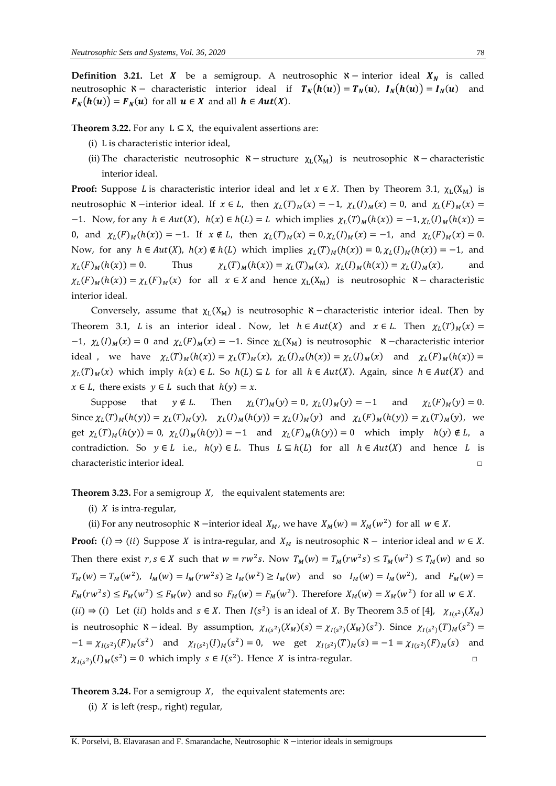**Definition 3.21.** Let  $X$  be a semigroup. A neutrosophic  $X -$  interior ideal  $X_N$  is called neutrosophic  $\aleph$  – characteristic interior ideal if  $T_N(h(u)) = T_N(u)$ ,  $I_N(h(u)) = I_N(u)$  and  $F_N(h(u)) = F_N(u)$  for all  $u \in X$  and all  $h \in Aut(X)$ .

**Theorem 3.22.** For any  $L \subseteq X$ , the equivalent assertions are:

- (i) L is characteristic interior ideal,
- (ii) The characteristic neutrosophic  $\aleph$  − structure  $\chi_L(X_M)$  is neutrosophic  $\aleph$  − characteristic interior ideal.

**Proof:** Suppose *L* is characteristic interior ideal and let  $x \in X$ . Then by Theorem 3.1,  $\chi_L(X_M)$  is neutrosophic  $\aleph$  −interior ideal. If  $x \in L$ , then  $\chi_L(T)_M(x) = -1$ ,  $\chi_L(I)_M(x) = 0$ , and  $\chi_L(F)_M(x) =$  $-1$ . Now, for any  $h \in Aut(X)$ ,  $h(x) \in h(L) = L$  which implies  $\chi_L(T)_M(h(x)) = -1$ ,  $\chi_L(I)_M(h(x)) =$ 0, and  $\chi_L(F)_M(h(x)) = -1$ . If  $x \notin L$ , then  $\chi_L(T)_M(x) = 0, \chi_L(I)_M(x) = -1$ , and  $\chi_L(F)_M(x) = 0$ . Now, for any  $h \in Aut(X)$ ,  $h(x) \notin h(L)$  which implies  $\chi_L(T)_M(h(x)) = 0$ ,  $\chi_L(I)_M(h(x)) = -1$ , and  $\chi_L(F)_M(h(x)) = 0.$  Thus  $\chi_L$  $(T)_M(h(x)) = \chi_L(T)_M(x), \ \chi_L(I)_M(h(x)) = \chi_L(I)_M(x),$  and  $\chi_L(F)_M(h(x)) = \chi_L(F)_M(x)$  for all  $x \in X$  and hence  $\chi_L(X_M)$  is neutrosophic  $\aleph$  - characteristic interior ideal.

Conversely, assume that  $\chi_L(X_M)$  is neutrosophic  $\aleph$  − characteristic interior ideal. Then by Theorem 3.1, *L* is an interior ideal. Now, let  $h \in Aut(X)$  and  $x \in L$ . Then  $\chi_L(T)_M(x) =$  $-1$ ,  $\chi_L(I)_M(x) = 0$  and  $\chi_L(F)_M(x) = -1$ . Since  $\chi_L(X_M)$  is neutrosophic  $\kappa$  –characteristic interior ideal, we have  $\chi_L(T)_M(h(x)) = \chi_L(T)_M(x)$ ,  $\chi_L(I)_M(h(x)) = \chi_L(I)_M(x)$  and  $\chi_L(F)_M(h(x)) =$  $\chi_L(T)_M(x)$  which imply  $h(x) \in L$ . So  $h(L) \subseteq L$  for all  $h \in Aut(X)$ . Again, since  $h \in Aut(X)$  and  $x \in L$ , there exists  $y \in L$  such that  $h(y) = x$ .

Suppose that  $y \notin L$ . Then  $\chi_L(T)_M(y) = 0$ ,  $\chi_L(I)_M(y) = -1$  and  $\chi_L(F)_M(y) = 0$ . Since  $\chi_L(T)_M(h(y)) = \chi_L(T)_M(y)$ ,  $\chi_L(I)_M(h(y)) = \chi_L(I)_M(y)$  and  $\chi_L(F)_M(h(y)) = \chi_L(T)_M(y)$ , we get  $\chi_L(T)_M(h(y)) = 0$ ,  $\chi_L(I)_M(h(y)) = -1$  and  $\chi_L(F)_M(h(y)) = 0$  which imply  $h(y) \notin L$ , a contradiction. So  $y \in L$  i.e.,  $h(y) \in L$ . Thus  $L \subseteq h(L)$  for all  $h \in Aut(X)$  and hence L is characteristic interior ideal. □

**Theorem 3.23.** For a semigroup  $X$ , the equivalent statements are:

(i)  $X$  is intra-regular,

(ii) For any neutrosophic  $\aleph$  −interior ideal  $X_M$ , we have  $X_M(w) = X_M(w^2)$  for all  $w \in X$ .

**Proof:** (i) ⇒ (ii) Suppose *X* is intra-regular, and  $X_M$  is neutrosophic  $\aleph$  − interior ideal and  $w \in X$ . Then there exist  $r, s \in X$  such that  $w = rw^2s$ . Now  $T_M(w) = T_M(rw^2s) \le T_M(w^2) \le T_M(w)$  and so  $T_M(w) = T_M(w^2)$ ,  $I_M(w) = I_M(rw^2s) \ge I_M(w^2) \ge I_M(w)$  and so  $I_M(w) = I_M(w^2)$ , and  $F_M(w) =$  $F_M(rw^2s) \le F_M(w^2) \le F_M(w)$  and so  $F_M(w) = F_M(w^2)$ . Therefore  $X_M(w) = X_M(w^2)$  for all  $w \in X$ .  $(ii) \Rightarrow (i)$  Let  $(ii)$  holds and  $s \in X$ . Then  $I(s^2)$  is an ideal of X. By Theorem 3.5 of [4],  $\chi_{I(s^2)}(X_M)$ is neutrosophic  $\aleph$  – ideal. By assumption,  $\chi_{I(s^2)}(X_M)(s) = \chi_{I(s^2)}(X_M)(s^2)$ . Since  $\chi_{I(s^2)}(T)_M(s^2) =$  $-1 = \chi_{I(s^2)}(F)_M(s^2)$  and  $\chi_{I(s^2)}(I)_M(s^2) = 0$ , we get  $\chi_{I(s^2)}(T)_M(s) = -1 = \chi_{I(s^2)}(F)_M(s)$  and  $\chi_{I(s^2)}(I)_M(s^2) = 0$  which imply  $s \in I(s^2)$ . Hence X is intra-regular.

**Theorem 3.24.** For a semigroup  $X$ , the equivalent statements are:

(i)  $X$  is left (resp., right) regular,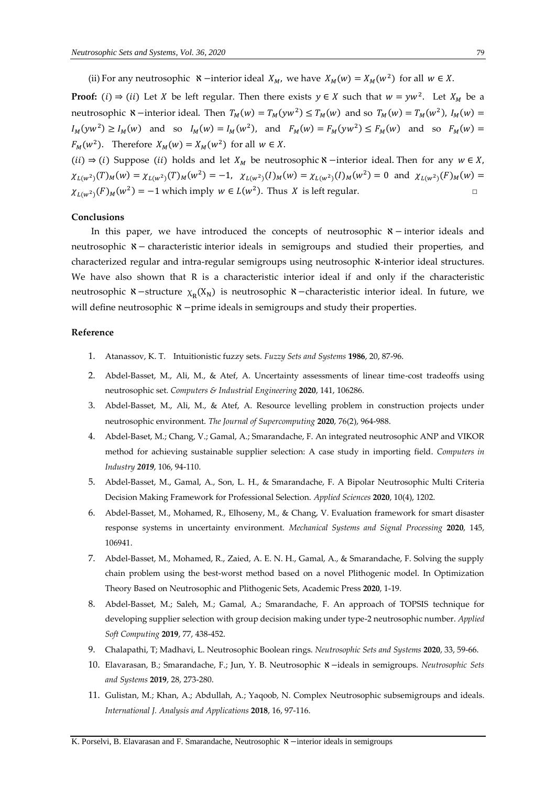(ii) For any neutrosophic  $\aleph$  −interior ideal  $X_M$ , we have  $X_M(w) = X_M(w^2)$  for all  $w \in X$ .

**Proof:** (i)  $\Rightarrow$  (ii) Let *X* be left regular. Then there exists  $y \in X$  such that  $w = yw^2$ . Let  $X_M$  be a neutrosophic  $\aleph$  -interior ideal. Then  $T_M(w) = T_M(yw^2) \le T_M(w)$  and so  $T_M(w) = T_M(w^2)$ ,  $I_M(w) =$  $I_M(yw^2) \ge I_M(w)$  and so  $I_M(w) = I_M(w^2)$ , and  $F_M(w) = F_M(yw^2) \le F_M(w)$  and so  $F_M(w) =$  $F_M(w^2)$ . Therefore  $X_M(w) = X_M(w^2)$  for all  $w \in X$ .

(ii)  $\Rightarrow$  (i) Suppose (ii) holds and let  $X_M$  be neutrosophic  $\aleph$  −interior ideal. Then for any  $w \in X$ ,  $\chi_{L(w^2)}(T)_M(w) = \chi_{L(w^2)}(T)_M(w^2) = -1$ ,  $\chi_{L(w^2)}(I)_M(w) = \chi_{L(w^2)}(I)_M(w^2) = 0$  and  $\chi_{L(w^2)}(F)_M(w) =$  $\chi_{L(w^2)}(F)_M(w^2) = -1$  which imply  $w \in L(w^2)$ . Thus X is left regular.

#### **Conclusions**

In this paper, we have introduced the concepts of neutrosophic  $x$  − interior ideals and neutrosophic ℵ− characteristic interior ideals in semigroups and studied their properties, and characterized regular and intra-regular semigroups using neutrosophic N-interior ideal structures. We have also shown that R is a characteristic interior ideal if and only if the characteristic neutrosophic  $\aleph$  −structure  $\chi_{\rm R}({\rm X_N})$  is neutrosophic  $\aleph$  −characteristic interior ideal. In future, we will define neutrosophic **X** −prime ideals in semigroups and study their properties.

#### **Reference**

- 1. Atanassov, K. T. Intuitionistic fuzzy sets. *Fuzzy Sets and Systems* **1986**, 20, 87-96.
- 2. Abdel-Basset, M., Ali, M., & Atef, A. Uncertainty assessments of linear time-cost tradeoffs using neutrosophic set. *Computers & Industrial Engineering* **2020**, 141, 106286.
- 3. Abdel-Basset, M., Ali, M., & Atef, A. Resource levelling problem in construction projects under neutrosophic environment. *The Journal of Supercomputing* **2020**, 76(2), 964-988.
- 4. Abdel-Baset, M.; Chang, V.; Gamal, A.; Smarandache, F. An integrated neutrosophic ANP and VIKOR method for achieving sustainable supplier selection: A case study in importing field. *Computers in Industry 2019*, 106, 94-110.
- 5. Abdel-Basset, M., Gamal, A., Son, L. H., & Smarandache, F. A Bipolar Neutrosophic Multi Criteria Decision Making Framework for Professional Selection. *Applied Sciences* **2020**, 10(4), 1202.
- 6. Abdel-Basset, M., Mohamed, R., Elhoseny, M., & Chang, V. Evaluation framework for smart disaster response systems in uncertainty environment. *Mechanical Systems and Signal Processing* **2020**, 145, 106941.
- 7. Abdel-Basset, M., Mohamed, R., Zaied, A. E. N. H., Gamal, A., & Smarandache, F. Solving the supply chain problem using the best-worst method based on a novel Plithogenic model. In Optimization Theory Based on Neutrosophic and Plithogenic Sets, Academic Press **2020**, 1-19.
- 8. Abdel-Basset, M.; Saleh, M.; Gamal, A.; Smarandache, F. An approach of TOPSIS technique for developing supplier selection with group decision making under type-2 neutrosophic number. *Applied Soft Computing* **2019**, 77, 438-452.
- 9. Chalapathi, T; Madhavi, L. Neutrosophic Boolean rings. *Neutrosophic Sets and Systems* **2020**, 33, 59-66.
- 10. Elavarasan, B.; Smarandache, F.; Jun, Y. B. Neutrosophic ℵ −ideals in semigroups. *Neutrosophic Sets and Systems* **2019**, 28, 273-280.
- 11. Gulistan, M.; Khan, A.; Abdullah, A.; Yaqoob, N. Complex Neutrosophic subsemigroups and ideals. *International J. Analysis and Applications* **2018**, 16, 97-116.